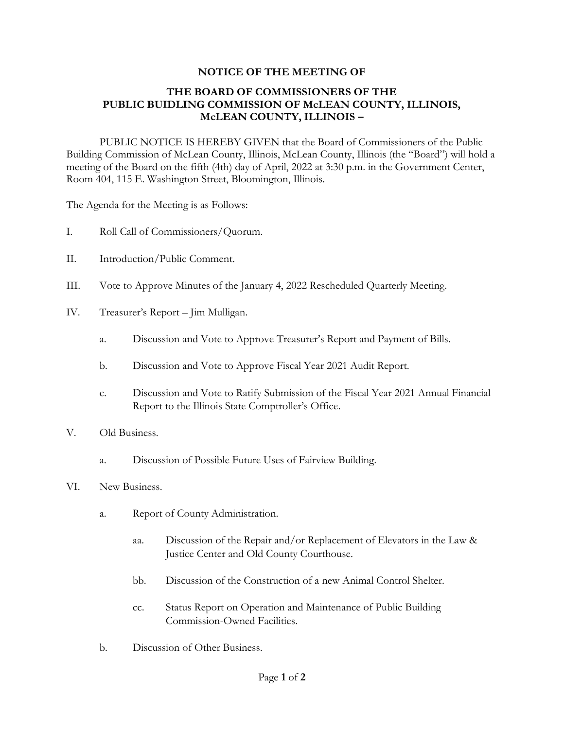## **NOTICE OF THE MEETING OF**

## **THE BOARD OF COMMISSIONERS OF THE PUBLIC BUIDLING COMMISSION OF McLEAN COUNTY, ILLINOIS, McLEAN COUNTY, ILLINOIS –**

PUBLIC NOTICE IS HEREBY GIVEN that the Board of Commissioners of the Public Building Commission of McLean County, Illinois, McLean County, Illinois (the "Board") will hold a meeting of the Board on the fifth (4th) day of April, 2022 at 3:30 p.m. in the Government Center, Room 404, 115 E. Washington Street, Bloomington, Illinois.

The Agenda for the Meeting is as Follows:

- I. Roll Call of Commissioners/Quorum.
- II. Introduction/Public Comment.
- III. Vote to Approve Minutes of the January 4, 2022 Rescheduled Quarterly Meeting.
- IV. Treasurer's Report Jim Mulligan.
	- a. Discussion and Vote to Approve Treasurer's Report and Payment of Bills.
	- b. Discussion and Vote to Approve Fiscal Year 2021 Audit Report.
	- c. Discussion and Vote to Ratify Submission of the Fiscal Year 2021 Annual Financial Report to the Illinois State Comptroller's Office.
- V. Old Business.
	- a. Discussion of Possible Future Uses of Fairview Building.
- VI. New Business.
	- a. Report of County Administration.
		- aa. Discussion of the Repair and/or Replacement of Elevators in the Law & Justice Center and Old County Courthouse.
		- bb. Discussion of the Construction of a new Animal Control Shelter.
		- cc. Status Report on Operation and Maintenance of Public Building Commission-Owned Facilities.
	- b. Discussion of Other Business.